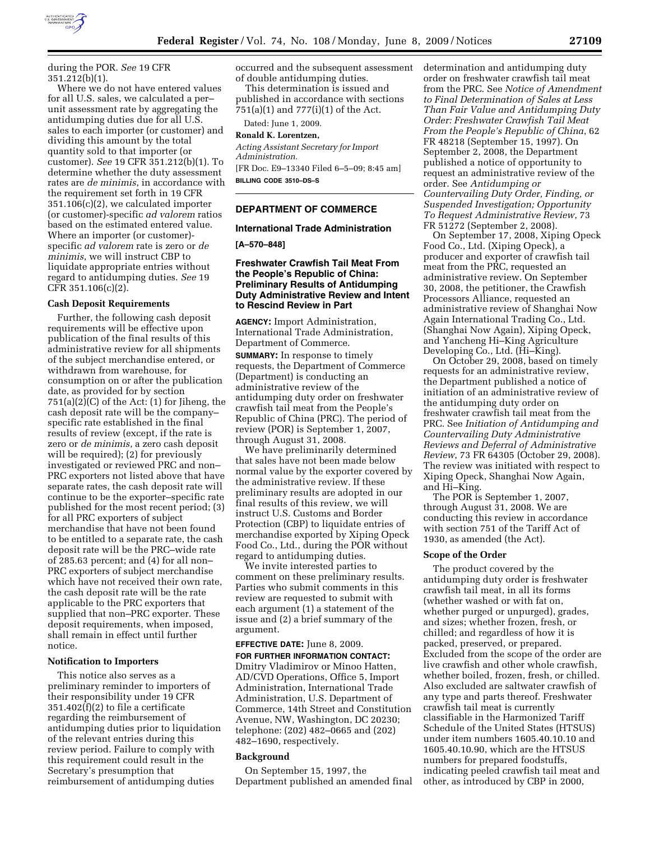

during the POR. *See* 19 CFR 351.212(b)(1).

Where we do not have entered values for all U.S. sales, we calculated a per– unit assessment rate by aggregating the antidumping duties due for all U.S. sales to each importer (or customer) and dividing this amount by the total quantity sold to that importer (or customer). *See* 19 CFR 351.212(b)(1). To determine whether the duty assessment rates are *de minimis*, in accordance with the requirement set forth in 19 CFR 351.106(c)(2), we calculated importer (or customer)-specific *ad valorem* ratios based on the estimated entered value. Where an importer (or customer) specific *ad valorem* rate is zero or *de minimis*, we will instruct CBP to liquidate appropriate entries without regard to antidumping duties. *See* 19 CFR 351.106(c)(2).

#### **Cash Deposit Requirements**

Further, the following cash deposit requirements will be effective upon publication of the final results of this administrative review for all shipments of the subject merchandise entered, or withdrawn from warehouse, for consumption on or after the publication date, as provided for by section  $751(a)(2)(C)$  of the Act:  $(1)$  for Jiheng, the cash deposit rate will be the company– specific rate established in the final results of review (except, if the rate is zero or *de minimis*, a zero cash deposit will be required); (2) for previously investigated or reviewed PRC and non– PRC exporters not listed above that have separate rates, the cash deposit rate will continue to be the exporter–specific rate published for the most recent period; (3) for all PRC exporters of subject merchandise that have not been found to be entitled to a separate rate, the cash deposit rate will be the PRC–wide rate of 285.63 percent; and (4) for all non– PRC exporters of subject merchandise which have not received their own rate, the cash deposit rate will be the rate applicable to the PRC exporters that supplied that non–PRC exporter. These deposit requirements, when imposed, shall remain in effect until further notice.

## **Notification to Importers**

This notice also serves as a preliminary reminder to importers of their responsibility under 19 CFR 351.402(f)(2) to file a certificate regarding the reimbursement of antidumping duties prior to liquidation of the relevant entries during this review period. Failure to comply with this requirement could result in the Secretary's presumption that reimbursement of antidumping duties

occurred and the subsequent assessment of double antidumping duties.

This determination is issued and published in accordance with sections 751(a)(1) and 777(i)(1) of the Act.

Dated: June 1, 2009.

# **Ronald K. Lorentzen,**

*Acting Assistant Secretary for Import Administration.*  [FR Doc. E9–13340 Filed 6–5–09; 8:45 am]

**BILLING CODE 3510–DS–S** 

# **DEPARTMENT OF COMMERCE**

#### **International Trade Administration**

**[A–570–848]** 

# **Freshwater Crawfish Tail Meat From the People's Republic of China: Preliminary Results of Antidumping Duty Administrative Review and Intent to Rescind Review in Part**

**AGENCY:** Import Administration, International Trade Administration, Department of Commerce. **SUMMARY:** In response to timely requests, the Department of Commerce (Department) is conducting an administrative review of the antidumping duty order on freshwater crawfish tail meat from the People's Republic of China (PRC). The period of review (POR) is September 1, 2007, through August 31, 2008.

We have preliminarily determined that sales have not been made below normal value by the exporter covered by the administrative review. If these preliminary results are adopted in our final results of this review, we will instruct U.S. Customs and Border Protection (CBP) to liquidate entries of merchandise exported by Xiping Opeck Food Co., Ltd., during the POR without regard to antidumping duties.

We invite interested parties to comment on these preliminary results. Parties who submit comments in this review are requested to submit with each argument (1) a statement of the issue and (2) a brief summary of the argument.

**EFFECTIVE DATE:** June 8, 2009. **FOR FURTHER INFORMATION CONTACT:**  Dmitry Vladimirov or Minoo Hatten, AD/CVD Operations, Office 5, Import Administration, International Trade Administration, U.S. Department of Commerce, 14th Street and Constitution Avenue, NW, Washington, DC 20230; telephone: (202) 482–0665 and (202) 482–1690, respectively.

#### **Background**

On September 15, 1997, the Department published an amended final determination and antidumping duty order on freshwater crawfish tail meat from the PRC. See *Notice of Amendment to Final Determination of Sales at Less Than Fair Value and Antidumping Duty Order: Freshwater Crawfish Tail Meat From the People's Republic of China*, 62 FR 48218 (September 15, 1997). On September 2, 2008, the Department published a notice of opportunity to request an administrative review of the order. See *Antidumping or Countervailing Duty Order, Finding, or Suspended Investigation; Opportunity To Request Administrative Review*, 73 FR 51272 (September 2, 2008).

On September 17, 2008, Xiping Opeck Food Co., Ltd. (Xiping Opeck), a producer and exporter of crawfish tail meat from the PRC, requested an administrative review. On September 30, 2008, the petitioner, the Crawfish Processors Alliance, requested an administrative review of Shanghai Now Again International Trading Co., Ltd. (Shanghai Now Again), Xiping Opeck, and Yancheng Hi–King Agriculture Developing Co., Ltd. (Hi–King).

On October 29, 2008, based on timely requests for an administrative review, the Department published a notice of initiation of an administrative review of the antidumping duty order on freshwater crawfish tail meat from the PRC. See *Initiation of Antidumping and Countervailing Duty Administrative Reviews and Deferral of Administrative Review*, 73 FR 64305 (October 29, 2008). The review was initiated with respect to Xiping Opeck, Shanghai Now Again, and Hi–King.

The POR is September 1, 2007, through August 31, 2008. We are conducting this review in accordance with section 751 of the Tariff Act of 1930, as amended (the Act).

#### **Scope of the Order**

The product covered by the antidumping duty order is freshwater crawfish tail meat, in all its forms (whether washed or with fat on, whether purged or unpurged), grades, and sizes; whether frozen, fresh, or chilled; and regardless of how it is packed, preserved, or prepared. Excluded from the scope of the order are live crawfish and other whole crawfish, whether boiled, frozen, fresh, or chilled. Also excluded are saltwater crawfish of any type and parts thereof. Freshwater crawfish tail meat is currently classifiable in the Harmonized Tariff Schedule of the United States (HTSUS) under item numbers 1605.40.10.10 and 1605.40.10.90, which are the HTSUS numbers for prepared foodstuffs, indicating peeled crawfish tail meat and other, as introduced by CBP in 2000,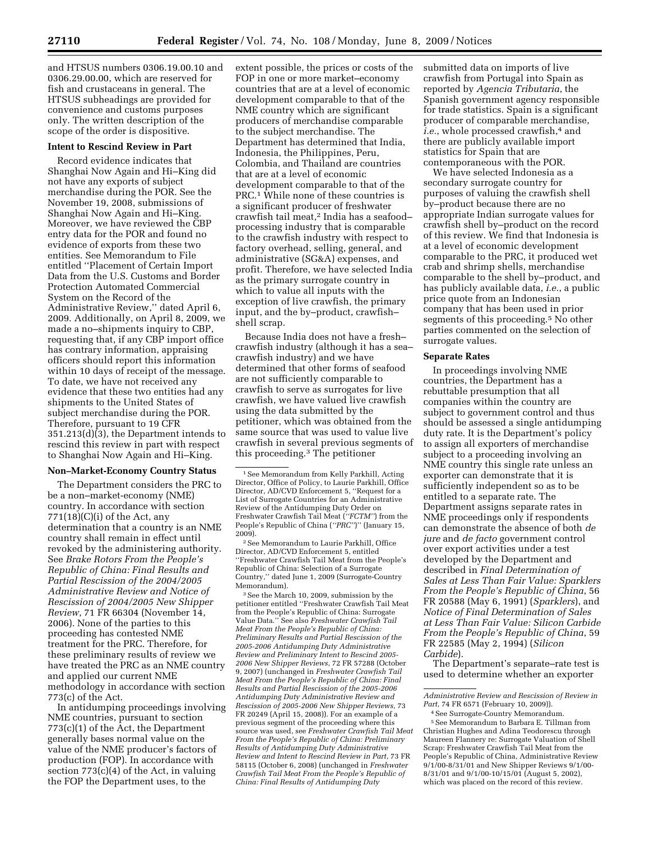and HTSUS numbers 0306.19.00.10 and 0306.29.00.00, which are reserved for fish and crustaceans in general. The HTSUS subheadings are provided for convenience and customs purposes only. The written description of the scope of the order is dispositive.

## **Intent to Rescind Review in Part**

Record evidence indicates that Shanghai Now Again and Hi–King did not have any exports of subject merchandise during the POR. See the November 19, 2008, submissions of Shanghai Now Again and Hi–King. Moreover, we have reviewed the CBP entry data for the POR and found no evidence of exports from these two entities. See Memorandum to File entitled ''Placement of Certain Import Data from the U.S. Customs and Border Protection Automated Commercial System on the Record of the Administrative Review,'' dated April 6, 2009. Additionally, on April 8, 2009, we made a no–shipments inquiry to CBP, requesting that, if any CBP import office has contrary information, appraising officers should report this information within 10 days of receipt of the message. To date, we have not received any evidence that these two entities had any shipments to the United States of subject merchandise during the POR. Therefore, pursuant to 19 CFR 351.213(d)(3), the Department intends to rescind this review in part with respect to Shanghai Now Again and Hi–King.

## **Non–Market-Economy Country Status**

The Department considers the PRC to be a non–market-economy (NME) country. In accordance with section  $771(18)(C)(i)$  of the Act, any determination that a country is an NME country shall remain in effect until revoked by the administering authority. See *Brake Rotors From the People's Republic of China: Final Results and Partial Rescission of the 2004/2005 Administrative Review and Notice of Rescission of 2004/2005 New Shipper Review*, 71 FR 66304 (November 14, 2006). None of the parties to this proceeding has contested NME treatment for the PRC. Therefore, for these preliminary results of review we have treated the PRC as an NME country and applied our current NME methodology in accordance with section 773(c) of the Act.

In antidumping proceedings involving NME countries, pursuant to section 773(c)(1) of the Act, the Department generally bases normal value on the value of the NME producer's factors of production (FOP). In accordance with section 773(c)(4) of the Act, in valuing the FOP the Department uses, to the

extent possible, the prices or costs of the FOP in one or more market–economy countries that are at a level of economic development comparable to that of the NME country which are significant producers of merchandise comparable to the subject merchandise. The Department has determined that India, Indonesia, the Philippines, Peru, Colombia, and Thailand are countries that are at a level of economic development comparable to that of the PRC.1 While none of these countries is a significant producer of freshwater crawfish tail meat,2 India has a seafood– processing industry that is comparable to the crawfish industry with respect to factory overhead, selling, general, and administrative (SG&A) expenses, and profit. Therefore, we have selected India as the primary surrogate country in which to value all inputs with the exception of live crawfish, the primary input, and the by–product, crawfish– shell scrap.

Because India does not have a fresh– crawfish industry (although it has a sea– crawfish industry) and we have determined that other forms of seafood are not sufficiently comparable to crawfish to serve as surrogates for live crawfish, we have valued live crawfish using the data submitted by the petitioner, which was obtained from the same source that was used to value live crawfish in several previous segments of this proceeding.3 The petitioner

2See Memorandum to Laurie Parkhill, Office Director, AD/CVD Enforcement 5, entitled ''Freshwater Crawfish Tail Meat from the People's Republic of China: Selection of a Surrogate Country,'' dated June 1, 2009 (Surrogate-Country Memorandum).

3See the March 10, 2009, submission by the petitioner entitled ''Freshwater Crawfish Tail Meat from the People's Republic of China: Surrogate Value Data.'' See also *Freshwater Crawfish Tail Meat From the People's Republic of China: Preliminary Results and Partial Rescission of the 2005-2006 Antidumping Duty Administrative Review and Preliminary Intent to Rescind 2005- 2006 New Shipper Reviews*, 72 FR 57288 (October 9, 2007) (unchanged in *Freshwater Crawfish Tail Meat From the People's Republic of China: Final Results and Partial Rescission of the 2005-2006 Antidumping Duty Administrative Review and Rescission of 2005-2006 New Shipper Reviews*, 73 FR 20249 (April 15, 2008)). For an example of a previous segment of the proceeding where this source was used, see *Freshwater Crawfish Tail Meat From the People's Republic of China: Preliminary Results of Antidumping Duty Administrative Review and Intent to Rescind Review in Part*, 73 FR 58115 (October 6, 2008) (unchanged in *Freshwater Crawfish Tail Meat From the People's Republic of China: Final Results of Antidumping Duty* 

submitted data on imports of live crawfish from Portugal into Spain as reported by *Agencia Tributaria*, the Spanish government agency responsible for trade statistics. Spain is a significant producer of comparable merchandise, *i.e.*, whole processed crawfish,<sup>4</sup> and there are publicly available import statistics for Spain that are contemporaneous with the POR.

We have selected Indonesia as a secondary surrogate country for purposes of valuing the crawfish shell by–product because there are no appropriate Indian surrogate values for crawfish shell by–product on the record of this review. We find that Indonesia is at a level of economic development comparable to the PRC, it produced wet crab and shrimp shells, merchandise comparable to the shell by–product, and has publicly available data, *i.e.*, a public price quote from an Indonesian company that has been used in prior segments of this proceeding.5 No other parties commented on the selection of surrogate values.

## **Separate Rates**

In proceedings involving NME countries, the Department has a rebuttable presumption that all companies within the country are subject to government control and thus should be assessed a single antidumping duty rate. It is the Department's policy to assign all exporters of merchandise subject to a proceeding involving an NME country this single rate unless an exporter can demonstrate that it is sufficiently independent so as to be entitled to a separate rate. The Department assigns separate rates in NME proceedings only if respondents can demonstrate the absence of both *de jure* and *de facto* government control over export activities under a test developed by the Department and described in *Final Determination of Sales at Less Than Fair Value: Sparklers From the People's Republic of China*, 56 FR 20588 (May 6, 1991) (*Sparklers*), and *Notice of Final Determination of Sales at Less Than Fair Value: Silicon Carbide From the People's Republic of China*, 59 FR 22585 (May 2, 1994) (*Silicon Carbide*).

The Department's separate–rate test is used to determine whether an exporter

<sup>1</sup>See Memorandum from Kelly Parkhill, Acting Director, Office of Policy, to Laurie Parkhill, Office Director, AD/CVD Enforcement 5, ''Request for a List of Surrogate Countries for an Administrative Review of the Antidumping Duty Order on Freshwater Crawfish Tail Meat (*''FCTM''*) from the People's Republic of China (*''PRC''*)'' (January 15, 2009).

*Administrative Review and Rescission of Review in Part*, 74 FR 6571 (February 10, 2009)).

<sup>4</sup>See Surrogate-Country Memorandum. 5See Memorandum to Barbara E. Tillman from Christian Hughes and Adina Teodorescu through Maureen Flannery re: Surrogate Valuation of Shell Scrap: Freshwater Crawfish Tail Meat from the People's Republic of China, Administrative Review 9/1/00-8/31/01 and New Shipper Reviews 9/1/00- 8/31/01 and 9/1/00-10/15/01 (August 5, 2002), which was placed on the record of this review.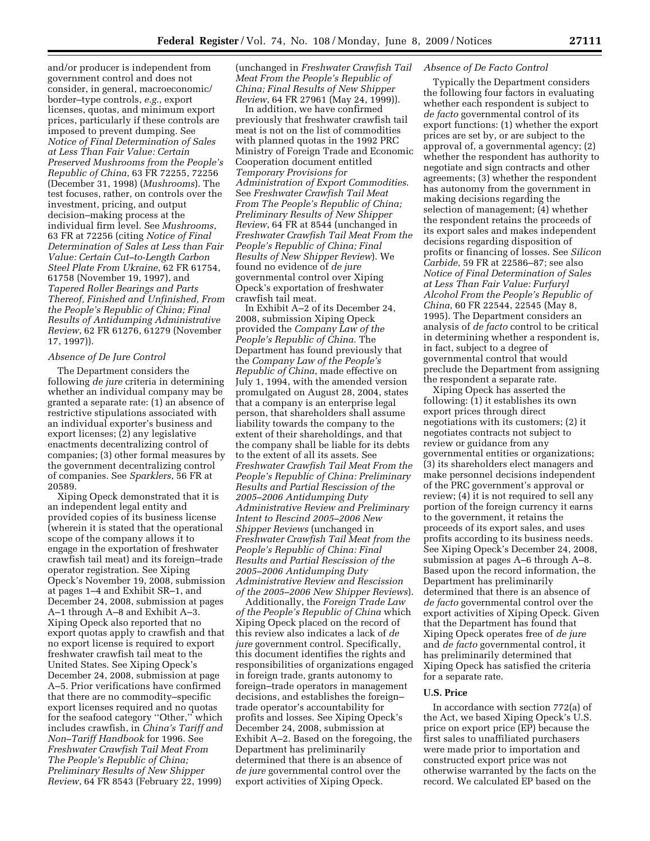and/or producer is independent from government control and does not consider, in general, macroeconomic/ border–type controls, *e.g.*, export licenses, quotas, and minimum export prices, particularly if these controls are imposed to prevent dumping. See *Notice of Final Determination of Sales at Less Than Fair Value: Certain Preserved Mushrooms from the People's Republic of China*, 63 FR 72255, 72256 (December 31, 1998) (*Mushrooms*). The test focuses, rather, on controls over the investment, pricing, and output decision–making process at the individual firm level. See *Mushrooms*, 63 FR at 72256 (citing *Notice of Final Determination of Sales at Less than Fair Value: Certain Cut–to-Length Carbon Steel Plate From Ukraine*, 62 FR 61754, 61758 (November 19, 1997), and *Tapered Roller Bearings and Parts Thereof, Finished and Unfinished, From the People's Republic of China; Final Results of Antidumping Administrative Review*, 62 FR 61276, 61279 (November 17, 1997)).

## *Absence of De Jure Control*

The Department considers the following *de jure* criteria in determining whether an individual company may be granted a separate rate: (1) an absence of restrictive stipulations associated with an individual exporter's business and export licenses; (2) any legislative enactments decentralizing control of companies; (3) other formal measures by the government decentralizing control of companies. See *Sparklers*, 56 FR at 20589.

Xiping Opeck demonstrated that it is an independent legal entity and provided copies of its business license (wherein it is stated that the operational scope of the company allows it to engage in the exportation of freshwater crawfish tail meat) and its foreign–trade operator registration. See Xiping Opeck's November 19, 2008, submission at pages 1–4 and Exhibit SR–1, and December 24, 2008, submission at pages A–1 through A–8 and Exhibit A–3. Xiping Opeck also reported that no export quotas apply to crawfish and that no export license is required to export freshwater crawfish tail meat to the United States. See Xiping Opeck's December 24, 2008, submission at page A–5. Prior verifications have confirmed that there are no commodity–specific export licenses required and no quotas for the seafood category ''Other,'' which includes crawfish, in *China's Tariff and Non–Tariff Handbook* for 1996. See *Freshwater Crawfish Tail Meat From The People's Republic of China; Preliminary Results of New Shipper Review*, 64 FR 8543 (February 22, 1999)

(unchanged in *Freshwater Crawfish Tail Meat From the People's Republic of China; Final Results of New Shipper Review*, 64 FR 27961 (May 24, 1999)).

In addition, we have confirmed previously that freshwater crawfish tail meat is not on the list of commodities with planned quotas in the 1992 PRC Ministry of Foreign Trade and Economic Cooperation document entitled *Temporary Provisions for Administration of Export Commodities*. See *Freshwater Crawfish Tail Meat From The People's Republic of China; Preliminary Results of New Shipper Review*, 64 FR at 8544 (unchanged in *Freshwater Crawfish Tail Meat From the People's Republic of China; Final Results of New Shipper Review*). We found no evidence of *de jure*  governmental control over Xiping Opeck's exportation of freshwater crawfish tail meat.

In Exhibit A–2 of its December 24, 2008, submission Xiping Opeck provided the *Company Law of the People's Republic of China*. The Department has found previously that the *Company Law of the People's Republic of China*, made effective on July 1, 1994, with the amended version promulgated on August 28, 2004, states that a company is an enterprise legal person, that shareholders shall assume liability towards the company to the extent of their shareholdings, and that the company shall be liable for its debts to the extent of all its assets. See *Freshwater Crawfish Tail Meat From the People's Republic of China: Preliminary Results and Partial Rescission of the 2005–2006 Antidumping Duty Administrative Review and Preliminary Intent to Rescind 2005–2006 New Shipper Reviews* (unchanged in *Freshwater Crawfish Tail Meat from the People's Republic of China: Final Results and Partial Rescission of the 2005–2006 Antidumping Duty Administrative Review and Rescission of the 2005–2006 New Shipper Reviews*).

Additionally, the *Foreign Trade Law of the People's Republic of China* which Xiping Opeck placed on the record of this review also indicates a lack of *de jure* government control. Specifically, this document identifies the rights and responsibilities of organizations engaged in foreign trade, grants autonomy to foreign–trade operators in management decisions, and establishes the foreign– trade operator's accountability for profits and losses. See Xiping Opeck's December 24, 2008, submission at Exhibit A–2. Based on the foregoing, the Department has preliminarily determined that there is an absence of *de jure* governmental control over the export activities of Xiping Opeck.

## *Absence of De Facto Control*

Typically the Department considers the following four factors in evaluating whether each respondent is subject to *de facto* governmental control of its export functions: (1) whether the export prices are set by, or are subject to the approval of, a governmental agency; (2) whether the respondent has authority to negotiate and sign contracts and other agreements; (3) whether the respondent has autonomy from the government in making decisions regarding the selection of management; (4) whether the respondent retains the proceeds of its export sales and makes independent decisions regarding disposition of profits or financing of losses. See *Silicon Carbide*, 59 FR at 22586–87; see also *Notice of Final Determination of Sales at Less Than Fair Value: Furfuryl Alcohol From the People's Republic of China*, 60 FR 22544, 22545 (May 8, 1995). The Department considers an analysis of *de facto* control to be critical in determining whether a respondent is, in fact, subject to a degree of governmental control that would preclude the Department from assigning the respondent a separate rate.

Xiping Opeck has asserted the following: (1) it establishes its own export prices through direct negotiations with its customers; (2) it negotiates contracts not subject to review or guidance from any governmental entities or organizations; (3) its shareholders elect managers and make personnel decisions independent of the PRC government's approval or review; (4) it is not required to sell any portion of the foreign currency it earns to the government, it retains the proceeds of its export sales, and uses profits according to its business needs. See Xiping Opeck's December 24, 2008, submission at pages A–6 through A–8. Based upon the record information, the Department has preliminarily determined that there is an absence of *de facto* governmental control over the export activities of Xiping Opeck. Given that the Department has found that Xiping Opeck operates free of *de jure*  and *de facto* governmental control, it has preliminarily determined that Xiping Opeck has satisfied the criteria for a separate rate.

## **U.S. Price**

In accordance with section 772(a) of the Act, we based Xiping Opeck's U.S. price on export price (EP) because the first sales to unaffiliated purchasers were made prior to importation and constructed export price was not otherwise warranted by the facts on the record. We calculated EP based on the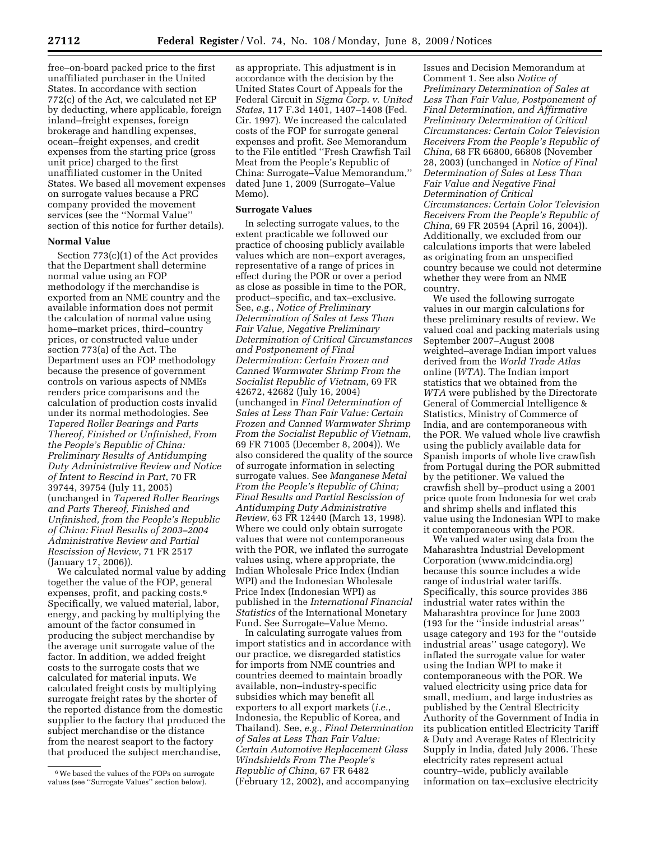free–on-board packed price to the first unaffiliated purchaser in the United States. In accordance with section 772(c) of the Act, we calculated net EP by deducting, where applicable, foreign inland–freight expenses, foreign brokerage and handling expenses, ocean–freight expenses, and credit expenses from the starting price (gross unit price) charged to the first unaffiliated customer in the United States. We based all movement expenses on surrogate values because a PRC company provided the movement services (see the ''Normal Value'' section of this notice for further details).

## **Normal Value**

Section 773(c)(1) of the Act provides that the Department shall determine normal value using an FOP methodology if the merchandise is exported from an NME country and the available information does not permit the calculation of normal value using home–market prices, third–country prices, or constructed value under section 773(a) of the Act. The Department uses an FOP methodology because the presence of government controls on various aspects of NMEs renders price comparisons and the calculation of production costs invalid under its normal methodologies. See *Tapered Roller Bearings and Parts Thereof, Finished or Unfinished, From the People's Republic of China: Preliminary Results of Antidumping Duty Administrative Review and Notice of Intent to Rescind in Part*, 70 FR 39744, 39754 (July 11, 2005) (unchanged in *Tapered Roller Bearings and Parts Thereof, Finished and Unfinished, from the People's Republic of China: Final Results of 2003–2004 Administrative Review and Partial Rescission of Review*, 71 FR 2517 (January 17, 2006)).

We calculated normal value by adding together the value of the FOP, general expenses, profit, and packing costs.<sup>6</sup> Specifically, we valued material, labor, energy, and packing by multiplying the amount of the factor consumed in producing the subject merchandise by the average unit surrogate value of the factor. In addition, we added freight costs to the surrogate costs that we calculated for material inputs. We calculated freight costs by multiplying surrogate freight rates by the shorter of the reported distance from the domestic supplier to the factory that produced the subject merchandise or the distance from the nearest seaport to the factory that produced the subject merchandise,

as appropriate. This adjustment is in accordance with the decision by the United States Court of Appeals for the Federal Circuit in *Sigma Corp. v. United States*, 117 F.3d 1401, 1407–1408 (Fed. Cir. 1997). We increased the calculated costs of the FOP for surrogate general expenses and profit. See Memorandum to the File entitled ''Fresh Crawfish Tail Meat from the People's Republic of China: Surrogate–Value Memorandum,'' dated June 1, 2009 (Surrogate–Value Memo).

#### **Surrogate Values**

In selecting surrogate values, to the extent practicable we followed our practice of choosing publicly available values which are non–export averages, representative of a range of prices in effect during the POR or over a period as close as possible in time to the POR, product–specific, and tax–exclusive. See, *e.g.*, *Notice of Preliminary Determination of Sales at Less Than Fair Value, Negative Preliminary Determination of Critical Circumstances and Postponement of Final Determination: Certain Frozen and Canned Warmwater Shrimp From the Socialist Republic of Vietnam*, 69 FR 42672, 42682 (July 16, 2004) (unchanged in *Final Determination of Sales at Less Than Fair Value: Certain Frozen and Canned Warmwater Shrimp From the Socialist Republic of Vietnam*, 69 FR 71005 (December 8, 2004)). We also considered the quality of the source of surrogate information in selecting surrogate values. See *Manganese Metal From the People's Republic of China; Final Results and Partial Rescission of Antidumping Duty Administrative Review*, 63 FR 12440 (March 13, 1998). Where we could only obtain surrogate values that were not contemporaneous with the POR, we inflated the surrogate values using, where appropriate, the Indian Wholesale Price Index (Indian WPI) and the Indonesian Wholesale Price Index (Indonesian WPI) as published in the *International Financial Statistics* of the International Monetary Fund. See Surrogate–Value Memo.

In calculating surrogate values from import statistics and in accordance with our practice, we disregarded statistics for imports from NME countries and countries deemed to maintain broadly available, non–industry-specific subsidies which may benefit all exporters to all export markets (*i.e.*, Indonesia, the Republic of Korea, and Thailand). See, *e.g.*, *Final Determination of Sales at Less Than Fair Value: Certain Automotive Replacement Glass Windshields From The People's Republic of China*, 67 FR 6482 (February 12, 2002), and accompanying

Issues and Decision Memorandum at Comment 1. See also *Notice of Preliminary Determination of Sales at Less Than Fair Value, Postponement of Final Determination, and Affirmative Preliminary Determination of Critical Circumstances: Certain Color Television Receivers From the People's Republic of China*, 68 FR 66800, 66808 (November 28, 2003) (unchanged in *Notice of Final Determination of Sales at Less Than Fair Value and Negative Final Determination of Critical Circumstances: Certain Color Television Receivers From the People's Republic of China*, 69 FR 20594 (April 16, 2004)). Additionally, we excluded from our calculations imports that were labeled as originating from an unspecified country because we could not determine whether they were from an NME country.

We used the following surrogate values in our margin calculations for these preliminary results of review. We valued coal and packing materials using September 2007–August 2008 weighted–average Indian import values derived from the *World Trade Atlas*  online (*WTA*). The Indian import statistics that we obtained from the *WTA* were published by the Directorate General of Commercial Intelligence & Statistics, Ministry of Commerce of India, and are contemporaneous with the POR. We valued whole live crawfish using the publicly available data for Spanish imports of whole live crawfish from Portugal during the POR submitted by the petitioner. We valued the crawfish shell by–product using a 2001 price quote from Indonesia for wet crab and shrimp shells and inflated this value using the Indonesian WPI to make it contemporaneous with the POR.

We valued water using data from the Maharashtra Industrial Development Corporation (www.midcindia.org) because this source includes a wide range of industrial water tariffs. Specifically, this source provides 386 industrial water rates within the Maharashtra province for June 2003 (193 for the ''inside industrial areas'' usage category and 193 for the ''outside industrial areas'' usage category). We inflated the surrogate value for water using the Indian WPI to make it contemporaneous with the POR. We valued electricity using price data for small, medium, and large industries as published by the Central Electricity Authority of the Government of India in its publication entitled Electricity Tariff & Duty and Average Rates of Electricity Supply in India, dated July 2006. These electricity rates represent actual country–wide, publicly available information on tax–exclusive electricity

<sup>6</sup>We based the values of the FOPs on surrogate values (see ''Surrogate Values'' section below).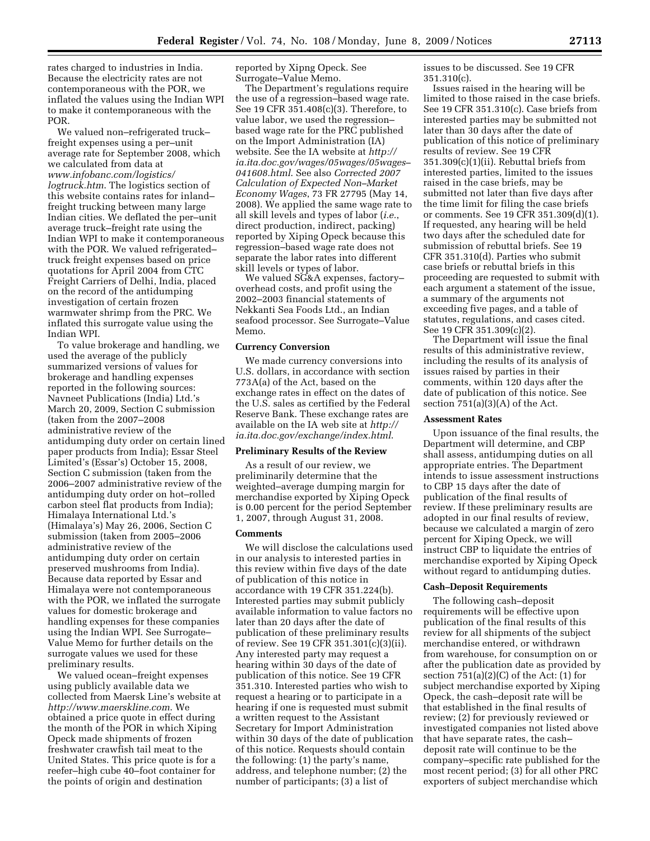rates charged to industries in India. Because the electricity rates are not contemporaneous with the POR, we inflated the values using the Indian WPI to make it contemporaneous with the POR.

We valued non–refrigerated truck– freight expenses using a per–unit average rate for September 2008, which we calculated from data at *www.infobanc.com/logistics/ logtruck.htm*. The logistics section of this website contains rates for inland– freight trucking between many large Indian cities. We deflated the per–unit average truck–freight rate using the Indian WPI to make it contemporaneous with the POR. We valued refrigerated– truck freight expenses based on price quotations for April 2004 from CTC Freight Carriers of Delhi, India, placed on the record of the antidumping investigation of certain frozen warmwater shrimp from the PRC. We inflated this surrogate value using the Indian WPI.

To value brokerage and handling, we used the average of the publicly summarized versions of values for brokerage and handling expenses reported in the following sources: Navneet Publications (India) Ltd.'s March 20, 2009, Section C submission (taken from the 2007–2008 administrative review of the antidumping duty order on certain lined paper products from India); Essar Steel Limited's (Essar's) October 15, 2008, Section C submission (taken from the 2006–2007 administrative review of the antidumping duty order on hot–rolled carbon steel flat products from India); Himalaya International Ltd.'s (Himalaya's) May 26, 2006, Section C submission (taken from 2005–2006 administrative review of the antidumping duty order on certain preserved mushrooms from India). Because data reported by Essar and Himalaya were not contemporaneous with the POR, we inflated the surrogate values for domestic brokerage and handling expenses for these companies using the Indian WPI. See Surrogate– Value Memo for further details on the surrogate values we used for these preliminary results.

We valued ocean–freight expenses using publicly available data we collected from Maersk Line's website at *http://www.maerskline.com*. We obtained a price quote in effect during the month of the POR in which Xiping Opeck made shipments of frozen freshwater crawfish tail meat to the United States. This price quote is for a reefer–high cube 40–foot container for the points of origin and destination

reported by Xipng Opeck. See Surrogate–Value Memo.

The Department's regulations require the use of a regression–based wage rate. See 19 CFR 351.408(c)(3). Therefore, to value labor, we used the regression– based wage rate for the PRC published on the Import Administration (IA) website. See the IA website at *http:// ia.ita.doc.gov/wages/05wages/05wages– 041608.html*. See also *Corrected 2007 Calculation of Expected Non–Market Economy Wages*, 73 FR 27795 (May 14, 2008). We applied the same wage rate to all skill levels and types of labor (*i.e.*, direct production, indirect, packing) reported by Xiping Opeck because this regression–based wage rate does not separate the labor rates into different skill levels or types of labor.

We valued SG&A expenses, factoryoverhead costs, and profit using the 2002–2003 financial statements of Nekkanti Sea Foods Ltd., an Indian seafood processor. See Surrogate–Value Memo.

#### **Currency Conversion**

We made currency conversions into U.S. dollars, in accordance with section 773A(a) of the Act, based on the exchange rates in effect on the dates of the U.S. sales as certified by the Federal Reserve Bank. These exchange rates are available on the IA web site at *http:// ia.ita.doc.gov/exchange/index.html*.

## **Preliminary Results of the Review**

As a result of our review, we preliminarily determine that the weighted–average dumping margin for merchandise exported by Xiping Opeck is 0.00 percent for the period September 1, 2007, through August 31, 2008.

#### **Comments**

We will disclose the calculations used in our analysis to interested parties in this review within five days of the date of publication of this notice in accordance with 19 CFR 351.224(b). Interested parties may submit publicly available information to value factors no later than 20 days after the date of publication of these preliminary results of review. See 19 CFR 351.301(c)(3)(ii). Any interested party may request a hearing within 30 days of the date of publication of this notice. See 19 CFR 351.310. Interested parties who wish to request a hearing or to participate in a hearing if one is requested must submit a written request to the Assistant Secretary for Import Administration within 30 days of the date of publication of this notice. Requests should contain the following: (1) the party's name, address, and telephone number; (2) the number of participants; (3) a list of

issues to be discussed. See 19 CFR 351.310(c).

Issues raised in the hearing will be limited to those raised in the case briefs. See 19 CFR 351.310(c). Case briefs from interested parties may be submitted not later than 30 days after the date of publication of this notice of preliminary results of review. See 19 CFR 351.309(c)(1)(ii). Rebuttal briefs from interested parties, limited to the issues raised in the case briefs, may be submitted not later than five days after the time limit for filing the case briefs or comments. See 19 CFR 351.309(d)(1). If requested, any hearing will be held two days after the scheduled date for submission of rebuttal briefs. See 19 CFR 351.310(d). Parties who submit case briefs or rebuttal briefs in this proceeding are requested to submit with each argument a statement of the issue, a summary of the arguments not exceeding five pages, and a table of statutes, regulations, and cases cited. See 19 CFR 351.309(c)(2).

The Department will issue the final results of this administrative review, including the results of its analysis of issues raised by parties in their comments, within 120 days after the date of publication of this notice. See section  $751(a)(3)(A)$  of the Act.

## **Assessment Rates**

Upon issuance of the final results, the Department will determine, and CBP shall assess, antidumping duties on all appropriate entries. The Department intends to issue assessment instructions to CBP 15 days after the date of publication of the final results of review. If these preliminary results are adopted in our final results of review, because we calculated a margin of zero percent for Xiping Opeck, we will instruct CBP to liquidate the entries of merchandise exported by Xiping Opeck without regard to antidumping duties.

#### **Cash–Deposit Requirements**

The following cash–deposit requirements will be effective upon publication of the final results of this review for all shipments of the subject merchandise entered, or withdrawn from warehouse, for consumption on or after the publication date as provided by section  $751(a)(2)(C)$  of the Act:  $(1)$  for subject merchandise exported by Xiping Opeck, the cash–deposit rate will be that established in the final results of review; (2) for previously reviewed or investigated companies not listed above that have separate rates, the cash– deposit rate will continue to be the company–specific rate published for the most recent period; (3) for all other PRC exporters of subject merchandise which